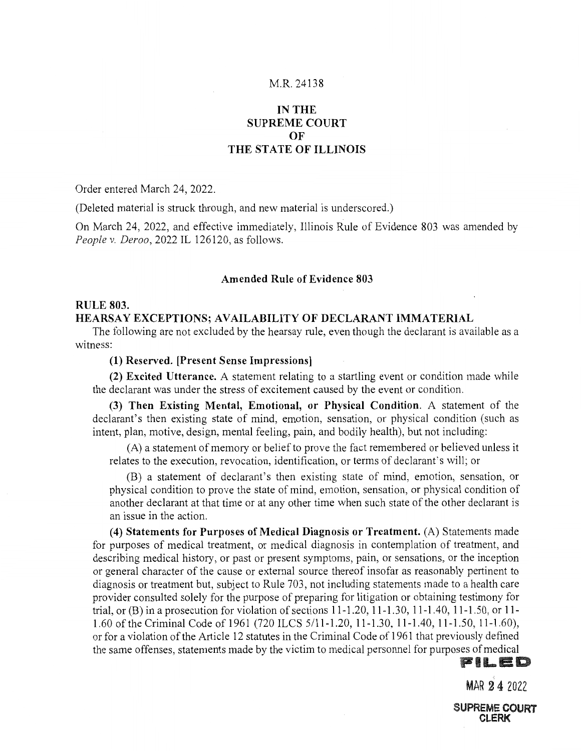#### M.R. 24138

# **IN THE SUPREME COURT OF THE STATE OF ILLINOIS**

Order entered March 24, 2022.

(Deleted material is struck through, and new material is underscored.)

On March 24, 2022, and effective immediately, Illinois Rule of Evidence 803 was amended by *People v. Deroo,* 2022 IL 126120, as follows.

#### **Amended Rule of Evidence 803**

### **RULE 803. HEARSAY EXCEPTIONS; AVAILABILITY OF DECLARANT IMMATERIAL**

The following are not excluded by the hearsay rule, even though the declarant is available as a witness:

### **(1) Reserved. [Present Sense Impressions]**

**(2) Excited Utterance.** A statement relating to a startling event or condition made while the declarant was under the stress of excitement caused by the event or condition.

**(3) Then Existing Mental, Emotional, or Physical Condition.** A statement of the declarant's then existing state of mind, emotion, sensation, or physical condition (such as intent, plan, motive, design, mental feeling, pain, and bodily health), but not including:

(A) a statement of memory or belief to prove the fact remembered or believed unless it relates to the execution, revocation, identification, or terms of declarant's will; or

(B) a statement of declarant's then existing state of mind, emotion, sensation, or physical condition to prove the state of mind, emotion, sensation, or physical condition of another declarant at that time or at any other time when such state of the other declarant is an issue in the action.

(**4) Statements for Purposes of Medical Diagnosis or Treatment.** (A) Statements made for purposes of medical treatment, or medical diagnosis in contemplation of treatment, and describing medical history, or past or present symptoms, pain, or sensations, or the inception or general character of the cause or external source thereof insofar as reasonably pertinent to diagnosis or treatment but, subject to Rule 703, not including statements made to a health care provider consulted solely for the purpose of preparing for litigation or obtaining testimony for trial, or (B) in a prosecution for violation of sections 11-1.20, 11-1.30, 11-1.40, 11-1.50, or 11- 1.60 of the Criminal Code of 1961 (720 ILCS 5/11 -1.20, 11-1.30, 11-1.40, 11-1.50, 11-1.60), or for a violation of the Article 12 statutes in the Criminal Code of 1961 that previously defined the same offenses, statements made by the victim to medical personnel for purposes of medical

## PILED

MAR 2*4* 2022

SUPREME COURT **CLERK**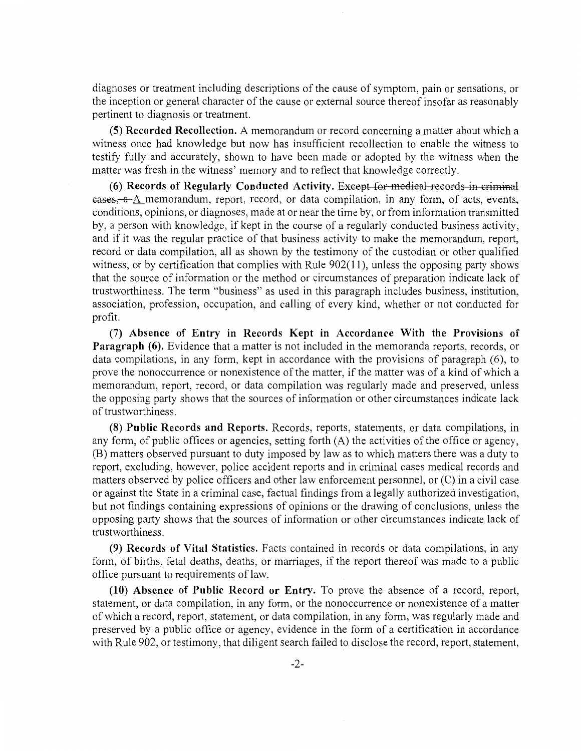diagnoses or treatment including descriptions of the cause of symptom, pain or sensations, or the inception or general character of the cause or external source thereof insofar as reasonably pertinent to diagnosis or treatment.

**(5) Recorded Recollection.** A memorandum or record concerning a matter about which a witness once had knowledge but now has insufficient recollection to enable the witness to testify fully and accurately, shown to have been made or adopted by the witness when the matter was fresh in the witness' memory and to reflect that knowledge correctly.

**(6) Records of Regularly Conducted Activity.** Except for medical records in criminal eases, a A. memorandum, report, record, or data compilation, in any form, of acts, events, conditions, opinions, or diagnoses, made at or near the time by, or from information transmitted by, a person with knowledge, if kept in the course of a regularly conducted business activity, and if it was the regular practice of that business activity to make the memorandum, report, record or data compilation, all as shown by the testimony of the custodian or other qualified witness, or by certification that complies with Rule 902(11), unless the opposing party shows that the source of information or the method or circumstances of preparation indicate lack of trustworthiness. The term "business" as used in this paragraph includes business, institution, association, profession, occupation, and calling of every kind, whether or not conducted for profit.

**(7) Absence of Entry in Records Kept in Accordance With the Provisions of Paragraph (6).** Evidence that a matter is not included in the memoranda reports, records, or data compilations, in any form, kept in accordance with the provisions of paragraph (6), to prove the nonoccurrence or nonexistence of the matter, if the matter was of a kind of which a memorandum, report, record, or data compilation was regularly made and preserved, unless the opposing party shows that the sources of information or other circumstances indicate lack of trustworthiness.

**(8) Public Records and Reports.** Records, reports, statements, or data compilations, in any form, of public offices or agencies, setting forth (A) the activities of the office or agency, (B) matters observed pursuant to duty imposed by law as to which matters there was a duty to report, excluding, however, police accident reports and in criminal cases medical records and matters observed by police officers and other law enforcement personnel, or (C) in a civil case or against the State in a criminal case, factual findings from a legally authorized investigation, but not findings containing expressions of opinions or the drawing of conclusions, unless the opposing party shows that the sources of information or other circumstances indicate lack of trustworthiness.

**(9) Records of Vital Statistics.** Facts contained in records or data compilations, in any form, of births, fetal deaths, deaths, or marriages, if the report thereof was made to a public office pursuant to requirements of law.

**(10) Absence of Public Record or Entry.** To prove the absence of a record, report, statement, or data compilation, in any form, or the nonoccurrence or nonexistence of a matter of which a record, report, statement, or data compilation, in any form, was regularly made and preserved by a public office or agency, evidence in the form of a certification in accordance with Rule 902, or testimony, that diligent search failed to disclose the record, report, statement,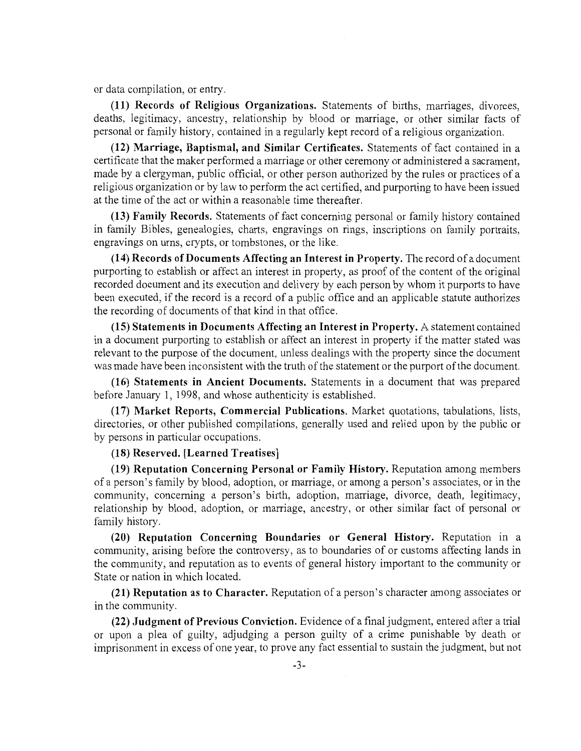or data compilation, or entry.

**(11) Records of Religious Organizations.** Statements of births, marriages, divorces, deaths, legitimacy, ancestry, relationship by blood or marriage, or other similar facts of personal or family history, contained in a regularly kept record of a religious organization.

**(12) Marriage, Baptismal, and Similar Certificates.** Statements of fact contained in a certificate that the maker performed a marriage or other ceremony or administered a sacrament, made by a clergyman, public official, or other person authorized by the rules or practices of a religious organization or by law to perform the act certified, and purporting to have been issued at the time of the act or within a reasonable time thereafter.

**(13) Family Records.** Statements of fact concerning personal or family history contained in family Bibles, genealogies, charts, engravings on rings, inscriptions on family portraits, engravings on urns, crypts, or tombstones, or the like.

**(14) Records ofDocuments Affecting an Interest in Property.** The record of a document purporting to establish or affect an interest in property, as proof of the content of the original recorded document and its execution and delivery by each person by whom it purports to have been executed, if the record is a record of a public office and an applicable statute authorizes the recording of documents of that kind in that office.

**(15) Statements in Documents Affecting an Interest in Property.** A statement contained in a document purporting to establish or affect an interest in property if the matter stated was relevant to the purpose of the document, unless dealings with the property since the document was made have been inconsistent with the truth of the statement or the purport of the document.

**(16) Statements in Ancient Documents.** Statements in a document that was prepared before January 1, 1998, and whose authenticity is established.

**(17) Market Reports, Commercial Publications.** Market quotations, tabulations, lists, directories, or other published compilations, generally used and relied upon by the public or by persons in particular occupations.

### **(18) Reserved. [Learned Treatises]**

**(19) Reputation Concerning Personal or Family History.** Reputation among members of a person's family by blood, adoption, or marriage, or among a person's associates, or in the community, concerning a person's birth, adoption, marriage, divorce, death, legitimacy, relationship by blood, adoption, or marriage, ancestry, or other similar fact of personal or family history.

**(20) Reputation Concerning Boundaries or General History.** Reputation in a community, arising before the controversy, as to boundaries of or customs affecting lands in the community, and reputation as to events of general history important to the community or State or nation in which located.

**(21) Reputation as to Character.** Reputation of a person's character among associates or in the community.

**(22) Judgment of Previous Conviction.** Evidence of a final judgment, entered after a trial or upon a plea of guilty, adjudging a person guilty of a crime punishable by death or imprisonment in excess of one year, to prove any fact essential to sustain the judgment, but not